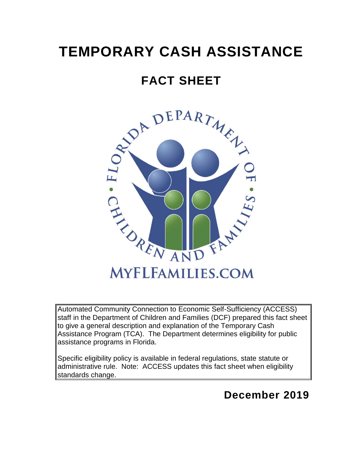# **TEMPORARY CASH ASSISTANCE**

# **FACT SHEET**



Automated Community Connection to Economic Self-Sufficiency (ACCESS) staff in the Department of Children and Families (DCF) prepared this fact sheet to give a general description and explanation of the Temporary Cash Assistance Program (TCA). The Department determines eligibility for public assistance programs in Florida.

Specific eligibility policy is available in federal regulations, state statute or administrative rule. Note: ACCESS updates this fact sheet when eligibility standards change.

# **December 2019**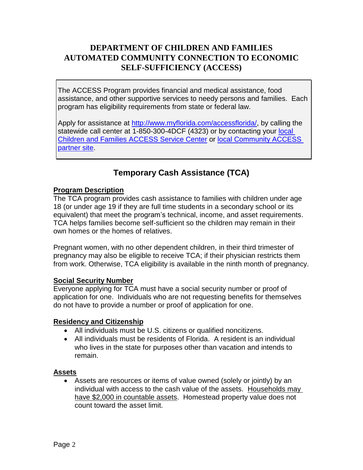# **DEPARTMENT OF CHILDREN AND FAMILIES AUTOMATED COMMUNITY CONNECTION TO ECONOMIC SELF-SUFFICIENCY (ACCESS)**

The ACCESS Program provides financial and medical assistance, food assistance, and other supportive services to needy persons and families. Each program has eligibility requirements from state or federal law.

Apply for assistance at [http://www.myflorida.com/accessflorida/,](http://www.myflorida.com/accessflorida/) by calling the statewide call center at 1-850-300-4DCF (4323) or by contacting your [local](https://www.myflfamilies.com/service-programs/access/map.shtml)  [Children and Families ACCESS Service Center](https://www.myflfamilies.com/service-programs/access/map.shtml) or [local Community ACCESS](https://access-web.dcf.state.fl.us/CPSLookup/search.aspx)  [partner site.](https://access-web.dcf.state.fl.us/CPSLookup/search.aspx)

# **Temporary Cash Assistance (TCA)**

# **Program Description**

The TCA program provides cash assistance to families with children under age 18 (or under age 19 if they are full time students in a secondary school or its equivalent) that meet the program's technical, income, and asset requirements. TCA helps families become self-sufficient so the children may remain in their own homes or the homes of relatives.

Pregnant women, with no other dependent children, in their third trimester of pregnancy may also be eligible to receive TCA; if their physician restricts them from work. Otherwise, TCA eligibility is available in the ninth month of pregnancy.

# **Social Security Number**

Everyone applying for TCA must have a social security number or proof of application for one. Individuals who are not requesting benefits for themselves do not have to provide a number or proof of application for one.

# **Residency and Citizenship**

- All individuals must be U.S. citizens or qualified noncitizens.
- All individuals must be residents of Florida. A resident is an individual who lives in the state for purposes other than vacation and intends to remain.

# **Assets**

• Assets are resources or items of value owned (solely or jointly) by an individual with access to the cash value of the assets. Households may have \$2,000 in countable assets. Homestead property value does not count toward the asset limit.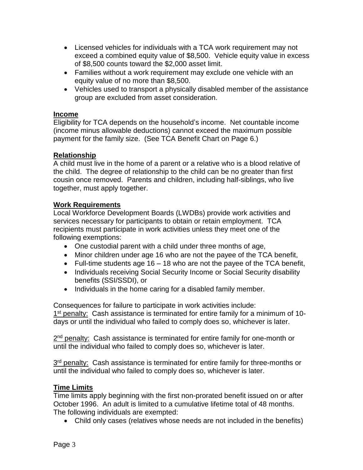- Licensed vehicles for individuals with a TCA work requirement may not exceed a combined equity value of \$8,500. Vehicle equity value in excess of \$8,500 counts toward the \$2,000 asset limit.
- Families without a work requirement may exclude one vehicle with an equity value of no more than \$8,500.
- Vehicles used to transport a physically disabled member of the assistance group are excluded from asset consideration.

# **Income**

Eligibility for TCA depends on the household's income. Net countable income (income minus allowable deductions) cannot exceed the maximum possible payment for the family size. (See TCA Benefit Chart on Page 6.)

# **Relationship**

A child must live in the home of a parent or a relative who is a blood relative of the child. The degree of relationship to the child can be no greater than first cousin once removed. Parents and children, including half-siblings, who live together, must apply together.

# **Work Requirements**

Local Workforce Development Boards (LWDBs) provide work activities and services necessary for participants to obtain or retain employment. TCA recipients must participate in work activities unless they meet one of the following exemptions:

- One custodial parent with a child under three months of age,
- Minor children under age 16 who are not the payee of the TCA benefit,
- Full-time students age 16 18 who are not the payee of the TCA benefit,
- Individuals receiving Social Security Income or Social Security disability benefits (SSI/SSDI), or
- Individuals in the home caring for a disabled family member.

Consequences for failure to participate in work activities include: 1<sup>st</sup> penalty: Cash assistance is terminated for entire family for a minimum of 10days or until the individual who failed to comply does so, whichever is later.

2<sup>nd</sup> penalty: Cash assistance is terminated for entire family for one-month or until the individual who failed to comply does so, whichever is later.

3<sup>rd</sup> penalty: Cash assistance is terminated for entire family for three-months or until the individual who failed to comply does so, whichever is later.

# **Time Limits**

Time limits apply beginning with the first non-prorated benefit issued on or after October 1996. An adult is limited to a cumulative lifetime total of 48 months. The following individuals are exempted:

• Child only cases (relatives whose needs are not included in the benefits)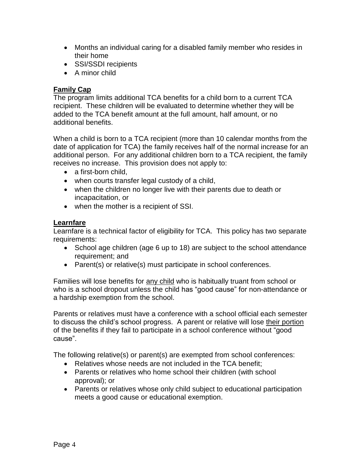- Months an individual caring for a disabled family member who resides in their home
- SSI/SSDI recipients
- A minor child

# **Family Cap**

The program limits additional TCA benefits for a child born to a current TCA recipient. These children will be evaluated to determine whether they will be added to the TCA benefit amount at the full amount, half amount, or no additional benefits.

When a child is born to a TCA recipient (more than 10 calendar months from the date of application for TCA) the family receives half of the normal increase for an additional person. For any additional children born to a TCA recipient, the family receives no increase. This provision does not apply to:

- a first-born child.
- when courts transfer legal custody of a child,
- when the children no longer live with their parents due to death or incapacitation, or
- when the mother is a recipient of SSI.

# **Learnfare**

Learnfare is a technical factor of eligibility for TCA. This policy has two separate requirements:

- School age children (age 6 up to 18) are subject to the school attendance requirement; and
- Parent(s) or relative(s) must participate in school conferences.

Families will lose benefits for any child who is habitually truant from school or who is a school dropout unless the child has "good cause" for non-attendance or a hardship exemption from the school.

Parents or relatives must have a conference with a school official each semester to discuss the child's school progress. A parent or relative will lose their portion of the benefits if they fail to participate in a school conference without "good cause".

The following relative(s) or parent(s) are exempted from school conferences:

- Relatives whose needs are not included in the TCA benefit;
- Parents or relatives who home school their children (with school approval); or
- Parents or relatives whose only child subject to educational participation meets a good cause or educational exemption.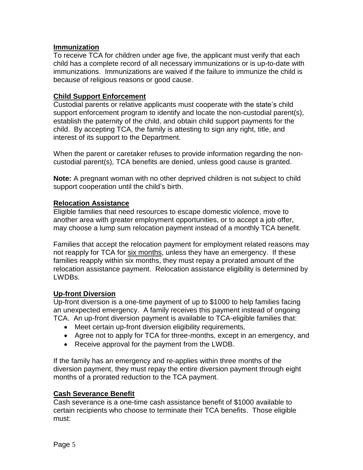# **Immunization**

To receive TCA for children under age five, the applicant must verify that each child has a complete record of all necessary immunizations or is up-to-date with immunizations. Immunizations are waived if the failure to immunize the child is because of religious reasons or good cause.

# **Child Support Enforcement**

Custodial parents or relative applicants must cooperate with the state's child support enforcement program to identify and locate the non-custodial parent(s), establish the paternity of the child, and obtain child support payments for the child. By accepting TCA, the family is attesting to sign any right, title, and interest of its support to the Department.

When the parent or caretaker refuses to provide information regarding the noncustodial parent(s), TCA benefits are denied, unless good cause is granted.

**Note:** A pregnant woman with no other deprived children is not subject to child support cooperation until the child's birth.

# **Relocation Assistance**

Eligible families that need resources to escape domestic violence, move to another area with greater employment opportunities, or to accept a job offer, may choose a lump sum relocation payment instead of a monthly TCA benefit.

Families that accept the relocation payment for employment related reasons may not reapply for TCA for six months, unless they have an emergency. If these families reapply within six months, they must repay a prorated amount of the relocation assistance payment. Relocation assistance eligibility is determined by LWDBs.

# **Up-front Diversion**

Up-front diversion is a one-time payment of up to \$1000 to help families facing an unexpected emergency. A family receives this payment instead of ongoing TCA. An up-front diversion payment is available to TCA-eligible families that:

- Meet certain up-front diversion eligibility requirements,
- Agree not to apply for TCA for three-months, except in an emergency, and
- Receive approval for the payment from the LWDB.

If the family has an emergency and re-applies within three months of the diversion payment, they must repay the entire diversion payment through eight months of a prorated reduction to the TCA payment.

# **Cash Severance Benefit**

Cash severance is a one-time cash assistance benefit of \$1000 available to certain recipients who choose to terminate their TCA benefits. Those eligible must: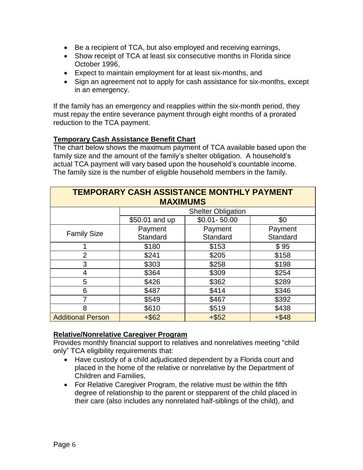- Be a recipient of TCA, but also employed and receiving earnings,
- Show receipt of TCA at least six consecutive months in Florida since October 1996,
- Expect to maintain employment for at least six-months, and
- Sign an agreement not to apply for cash assistance for six-months, except in an emergency.

If the family has an emergency and reapplies within the six-month period, they must repay the entire severance payment through eight months of a prorated reduction to the TCA payment.

# **Temporary Cash Assistance Benefit Chart**

The chart below shows the maximum payment of TCA available based upon the family size and the amount of the family's shelter obligation. A household's actual TCA payment will vary based upon the household's countable income. The family size is the number of eligible household members in the family.

| TEMPORARY CASH ASSISTANCE MONTHLY PAYMENT |                           |                 |          |  |
|-------------------------------------------|---------------------------|-----------------|----------|--|
| <b>MAXIMUMS</b>                           |                           |                 |          |  |
|                                           | <b>Shelter Obligation</b> |                 |          |  |
|                                           | \$50.01 and up            | $$0.01 - 50.00$ | \$0      |  |
| <b>Family Size</b>                        | Payment                   | Payment         | Payment  |  |
|                                           | Standard                  | Standard        | Standard |  |
|                                           | \$180                     | \$153           | \$95     |  |
| $\overline{2}$                            | \$241                     | \$205           | \$158    |  |
| 3                                         | \$303                     | \$258           | \$198    |  |
| 4                                         | \$364                     | \$309           | \$254    |  |
| 5                                         | \$426                     | \$362           | \$289    |  |
| 6                                         | \$487                     | \$414           | \$346    |  |
| 7                                         | \$549                     | \$467           | \$392    |  |
| 8                                         | \$610                     | \$519           | \$438    |  |
| <b>Additional Person</b>                  | $+$ \$62                  | $+ $52$         | $+ $48$  |  |

# **Relative/Nonrelative Caregiver Program**

Provides monthly financial support to relatives and nonrelatives meeting "child only" TCA eligibility requirements that:

- Have custody of a child adjudicated dependent by a Florida court and placed in the home of the relative or nonrelative by the Department of Children and Families,
- For Relative Caregiver Program, the relative must be within the fifth degree of relationship to the parent or stepparent of the child placed in their care (also includes any nonrelated half-siblings of the child), and